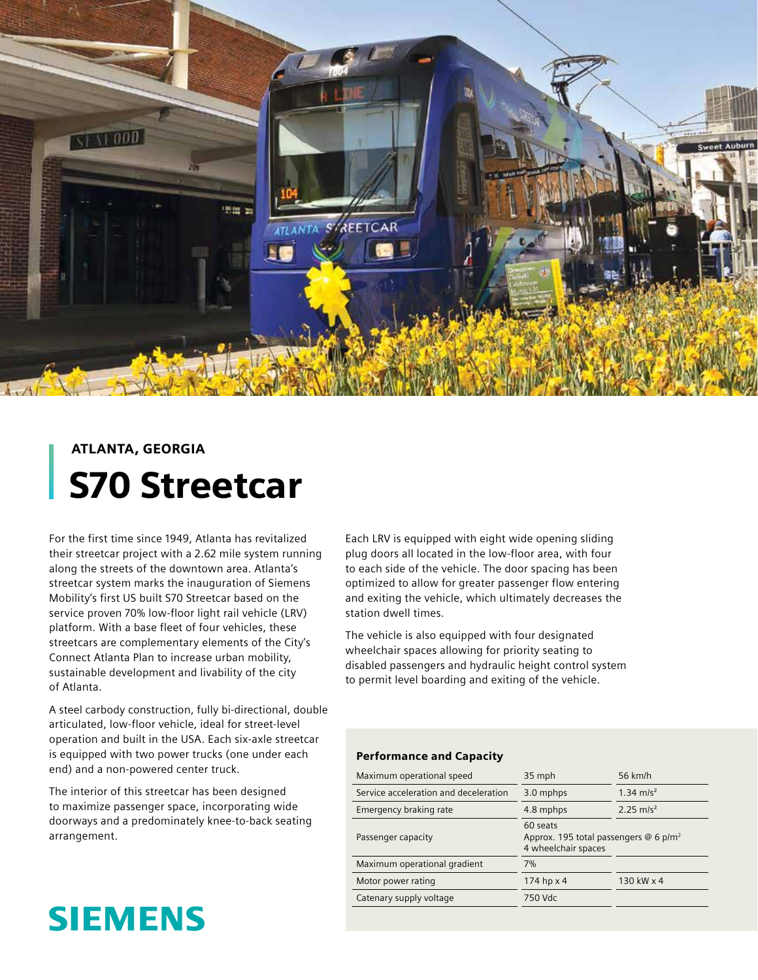

## ATLANTA, GEORGIA S70 Streetcar

For the first time since 1949, Atlanta has revitalized their streetcar project with a 2.62 mile system running along the streets of the downtown area. Atlanta's streetcar system marks the inauguration of Siemens Mobility's first US built S70 Streetcar based on the service proven 70% low-floor light rail vehicle (LRV) platform. With a base fleet of four vehicles, these streetcars are complementary elements of the City's Connect Atlanta Plan to increase urban mobility, sustainable development and livability of the city of Atlanta.

A steel carbody construction, fully bi-directional, double articulated, low-floor vehicle, ideal for street-level operation and built in the USA. Each six-axle streetcar is equipped with two power trucks (one under each end) and a non-powered center truck.

The interior of this streetcar has been designed to maximize passenger space, incorporating wide doorways and a predominately knee-to-back seating arrangement.

# **SIEMENS**

Each LRV is equipped with eight wide opening sliding plug doors all located in the low-floor area, with four to each side of the vehicle. The door spacing has been optimized to allow for greater passenger flow entering and exiting the vehicle, which ultimately decreases the station dwell times.

The vehicle is also equipped with four designated wheelchair spaces allowing for priority seating to disabled passengers and hydraulic height control system to permit level boarding and exiting of the vehicle.

### Performance and Capacity

| Maximum operational speed             | 35 mph                                                                      | 56 km/h               |
|---------------------------------------|-----------------------------------------------------------------------------|-----------------------|
| Service acceleration and deceleration | 3.0 mphps                                                                   | 1.34 m/s <sup>2</sup> |
| Emergency braking rate                | 4.8 mphps                                                                   | 2.25 m/s <sup>2</sup> |
| Passenger capacity                    | 60 seats<br>Approx. 195 total passengers @ 6 $p/m^2$<br>4 wheelchair spaces |                       |
| Maximum operational gradient          | 7%                                                                          |                       |
| Motor power rating                    | 174 hp $\times$ 4                                                           | 130 kW x 4            |
| Catenary supply voltage               | 750 Vdc                                                                     |                       |
|                                       |                                                                             |                       |